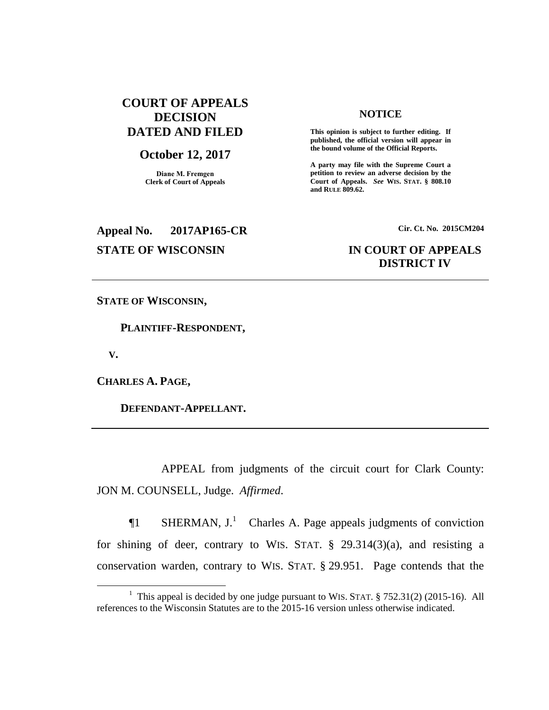# **COURT OF APPEALS DECISION DATED AND FILED**

### **October 12, 2017**

**Diane M. Fremgen Clerk of Court of Appeals**

#### **NOTICE**

**This opinion is subject to further editing. If published, the official version will appear in the bound volume of the Official Reports.** 

**A party may file with the Supreme Court a petition to review an adverse decision by the Court of Appeals.** *See* **WIS. STAT. § 808.10 and RULE 809.62.** 

# **Appeal No. 2017AP165-CR Cir. Ct. No. 2015CM204**

# **STATE OF WISCONSIN IN COURT OF APPEALS DISTRICT IV**

**STATE OF WISCONSIN,**

 **PLAINTIFF-RESPONDENT,**

 **V.**

 $\overline{a}$ 

**CHARLES A. PAGE,**

 **DEFENDANT-APPELLANT.**

APPEAL from judgments of the circuit court for Clark County: JON M. COUNSELL, Judge. *Affirmed*.

 $\P1$  SHERMAN, J.<sup>1</sup> Charles A. Page appeals judgments of conviction for shining of deer, contrary to WIS. STAT.  $\S$  29.314(3)(a), and resisting a conservation warden, contrary to WIS. STAT. § 29.951. Page contends that the

<sup>&</sup>lt;sup>1</sup> This appeal is decided by one judge pursuant to WIS. STAT.  $\S$  752.31(2) (2015-16). All references to the Wisconsin Statutes are to the 2015-16 version unless otherwise indicated.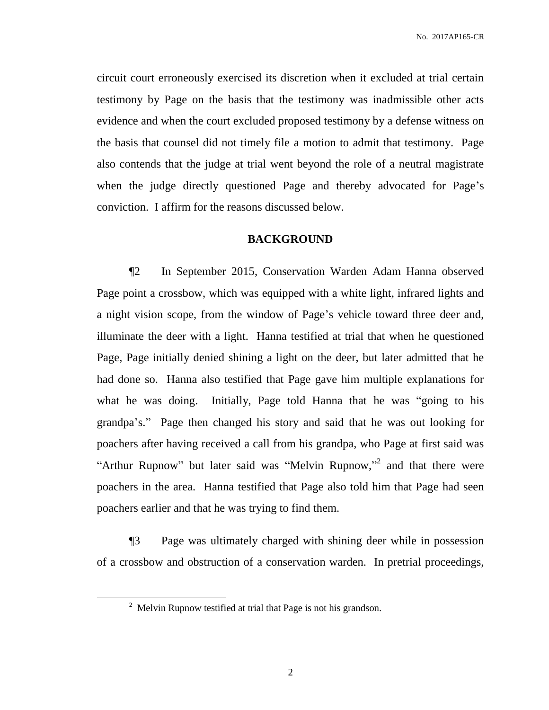No. 2017AP165-CR

circuit court erroneously exercised its discretion when it excluded at trial certain testimony by Page on the basis that the testimony was inadmissible other acts evidence and when the court excluded proposed testimony by a defense witness on the basis that counsel did not timely file a motion to admit that testimony. Page also contends that the judge at trial went beyond the role of a neutral magistrate when the judge directly questioned Page and thereby advocated for Page's conviction. I affirm for the reasons discussed below.

# **BACKGROUND**

¶2 In September 2015, Conservation Warden Adam Hanna observed Page point a crossbow, which was equipped with a white light, infrared lights and a night vision scope, from the window of Page's vehicle toward three deer and, illuminate the deer with a light. Hanna testified at trial that when he questioned Page, Page initially denied shining a light on the deer, but later admitted that he had done so. Hanna also testified that Page gave him multiple explanations for what he was doing. Initially, Page told Hanna that he was "going to his grandpa's." Page then changed his story and said that he was out looking for poachers after having received a call from his grandpa, who Page at first said was "Arthur Rupnow" but later said was "Melvin Rupnow,"<sup>2</sup> and that there were poachers in the area. Hanna testified that Page also told him that Page had seen poachers earlier and that he was trying to find them.

¶3 Page was ultimately charged with shining deer while in possession of a crossbow and obstruction of a conservation warden. In pretrial proceedings,

 $\overline{a}$ 

 $2$  Melvin Rupnow testified at trial that Page is not his grandson.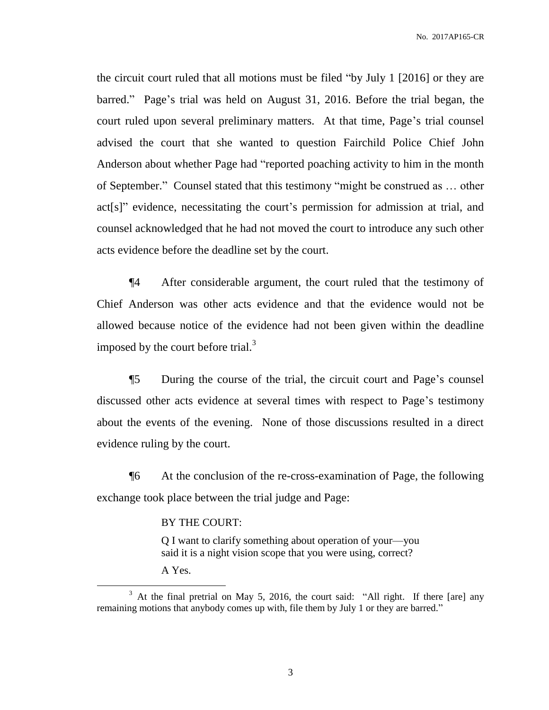the circuit court ruled that all motions must be filed "by July 1 [2016] or they are barred." Page's trial was held on August 31, 2016. Before the trial began, the court ruled upon several preliminary matters. At that time, Page's trial counsel advised the court that she wanted to question Fairchild Police Chief John Anderson about whether Page had "reported poaching activity to him in the month of September." Counsel stated that this testimony "might be construed as … other act[s]" evidence, necessitating the court's permission for admission at trial, and counsel acknowledged that he had not moved the court to introduce any such other acts evidence before the deadline set by the court.

¶4 After considerable argument, the court ruled that the testimony of Chief Anderson was other acts evidence and that the evidence would not be allowed because notice of the evidence had not been given within the deadline imposed by the court before trial. $3$ 

¶5 During the course of the trial, the circuit court and Page's counsel discussed other acts evidence at several times with respect to Page's testimony about the events of the evening. None of those discussions resulted in a direct evidence ruling by the court.

¶6 At the conclusion of the re-cross-examination of Page, the following exchange took place between the trial judge and Page:

#### BY THE COURT:

Q I want to clarify something about operation of your—you said it is a night vision scope that you were using, correct?

A Yes.

 $\overline{a}$ 

 $3$  At the final pretrial on May 5, 2016, the court said: "All right. If there [are] any remaining motions that anybody comes up with, file them by July 1 or they are barred."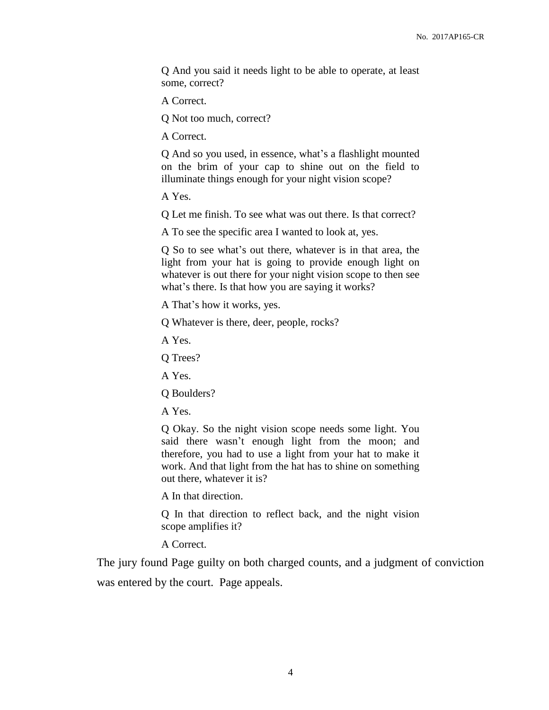Q And you said it needs light to be able to operate, at least some, correct?

A Correct.

Q Not too much, correct?

A Correct.

Q And so you used, in essence, what's a flashlight mounted on the brim of your cap to shine out on the field to illuminate things enough for your night vision scope?

A Yes.

Q Let me finish. To see what was out there. Is that correct?

A To see the specific area I wanted to look at, yes.

Q So to see what's out there, whatever is in that area, the light from your hat is going to provide enough light on whatever is out there for your night vision scope to then see what's there. Is that how you are saying it works?

A That's how it works, yes.

Q Whatever is there, deer, people, rocks?

A Yes.

Q Trees?

A Yes.

Q Boulders?

A Yes.

Q Okay. So the night vision scope needs some light. You said there wasn't enough light from the moon; and therefore, you had to use a light from your hat to make it work. And that light from the hat has to shine on something out there, whatever it is?

A In that direction.

Q In that direction to reflect back, and the night vision scope amplifies it?

A Correct.

The jury found Page guilty on both charged counts, and a judgment of conviction was entered by the court. Page appeals.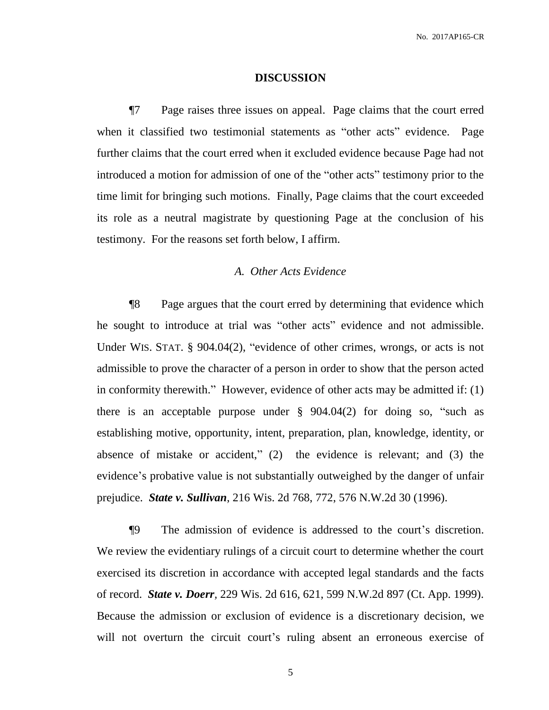#### **DISCUSSION**

¶7 Page raises three issues on appeal. Page claims that the court erred when it classified two testimonial statements as "other acts" evidence. Page further claims that the court erred when it excluded evidence because Page had not introduced a motion for admission of one of the "other acts" testimony prior to the time limit for bringing such motions. Finally, Page claims that the court exceeded its role as a neutral magistrate by questioning Page at the conclusion of his testimony. For the reasons set forth below, I affirm.

# *A. Other Acts Evidence*

¶8 Page argues that the court erred by determining that evidence which he sought to introduce at trial was "other acts" evidence and not admissible. Under WIS. STAT. § 904.04(2), "evidence of other crimes, wrongs, or acts is not admissible to prove the character of a person in order to show that the person acted in conformity therewith." However, evidence of other acts may be admitted if: (1) there is an acceptable purpose under  $\S$  904.04(2) for doing so, "such as establishing motive, opportunity, intent, preparation, plan, knowledge, identity, or absence of mistake or accident," (2) the evidence is relevant; and (3) the evidence's probative value is not substantially outweighed by the danger of unfair prejudice. *State v. Sullivan*, 216 Wis. 2d 768, 772, 576 N.W.2d 30 (1996).

¶9 The admission of evidence is addressed to the court's discretion. We review the evidentiary rulings of a circuit court to determine whether the court exercised its discretion in accordance with accepted legal standards and the facts of record. *State v. Doerr,* 229 Wis. 2d 616, 621, 599 N.W.2d 897 (Ct. App. 1999). Because the admission or exclusion of evidence is a discretionary decision, we will not overturn the circuit court's ruling absent an erroneous exercise of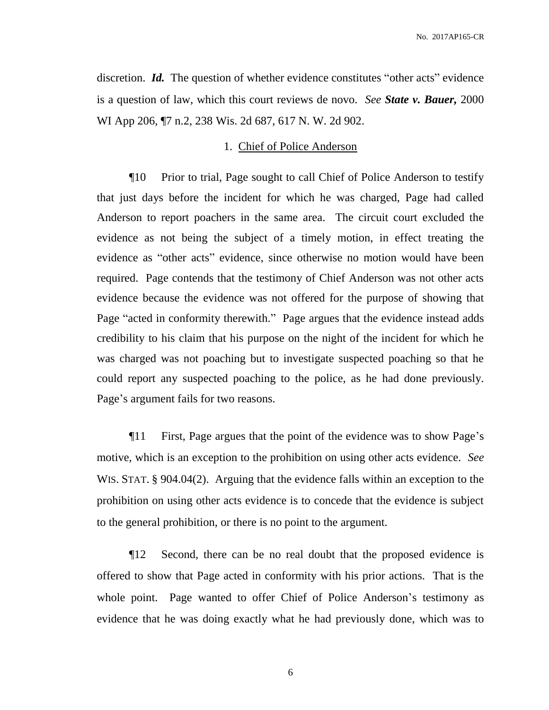discretion. *Id.* The question of whether evidence constitutes "other acts" evidence is a question of law, which this court reviews de novo. *See State v. Bauer,* 2000 WI App 206, ¶7 n.2, 238 Wis. 2d 687, 617 N. W. 2d 902.

#### 1. Chief of Police Anderson

¶10 Prior to trial, Page sought to call Chief of Police Anderson to testify that just days before the incident for which he was charged, Page had called Anderson to report poachers in the same area. The circuit court excluded the evidence as not being the subject of a timely motion, in effect treating the evidence as "other acts" evidence, since otherwise no motion would have been required. Page contends that the testimony of Chief Anderson was not other acts evidence because the evidence was not offered for the purpose of showing that Page "acted in conformity therewith." Page argues that the evidence instead adds credibility to his claim that his purpose on the night of the incident for which he was charged was not poaching but to investigate suspected poaching so that he could report any suspected poaching to the police, as he had done previously. Page's argument fails for two reasons.

¶11 First, Page argues that the point of the evidence was to show Page's motive, which is an exception to the prohibition on using other acts evidence. *See*  WIS. STAT. § 904.04(2). Arguing that the evidence falls within an exception to the prohibition on using other acts evidence is to concede that the evidence is subject to the general prohibition, or there is no point to the argument.

¶12 Second, there can be no real doubt that the proposed evidence is offered to show that Page acted in conformity with his prior actions. That is the whole point. Page wanted to offer Chief of Police Anderson's testimony as evidence that he was doing exactly what he had previously done, which was to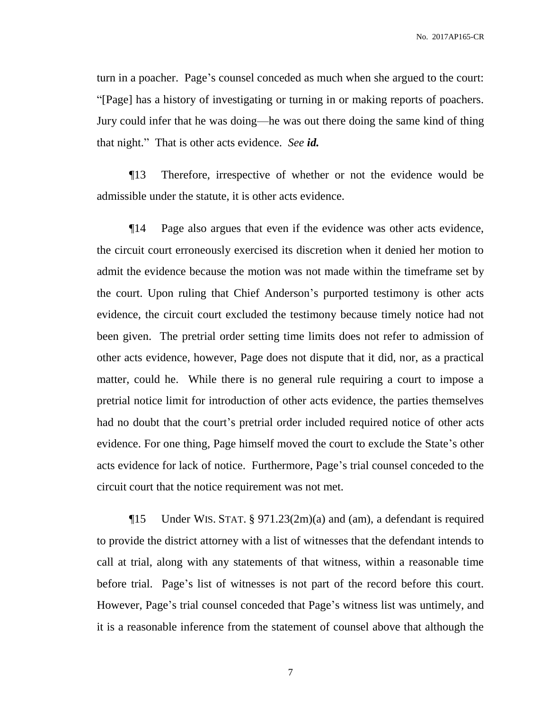No. 2017AP165-CR

turn in a poacher. Page's counsel conceded as much when she argued to the court: "[Page] has a history of investigating or turning in or making reports of poachers. Jury could infer that he was doing—he was out there doing the same kind of thing that night." That is other acts evidence. *See id.*

¶13 Therefore, irrespective of whether or not the evidence would be admissible under the statute, it is other acts evidence.

¶14 Page also argues that even if the evidence was other acts evidence, the circuit court erroneously exercised its discretion when it denied her motion to admit the evidence because the motion was not made within the timeframe set by the court. Upon ruling that Chief Anderson's purported testimony is other acts evidence, the circuit court excluded the testimony because timely notice had not been given. The pretrial order setting time limits does not refer to admission of other acts evidence, however, Page does not dispute that it did, nor, as a practical matter, could he. While there is no general rule requiring a court to impose a pretrial notice limit for introduction of other acts evidence, the parties themselves had no doubt that the court's pretrial order included required notice of other acts evidence. For one thing, Page himself moved the court to exclude the State's other acts evidence for lack of notice. Furthermore, Page's trial counsel conceded to the circuit court that the notice requirement was not met.

¶15 Under WIS. STAT. § 971.23(2m)(a) and (am), a defendant is required to provide the district attorney with a list of witnesses that the defendant intends to call at trial, along with any statements of that witness, within a reasonable time before trial. Page's list of witnesses is not part of the record before this court. However, Page's trial counsel conceded that Page's witness list was untimely, and it is a reasonable inference from the statement of counsel above that although the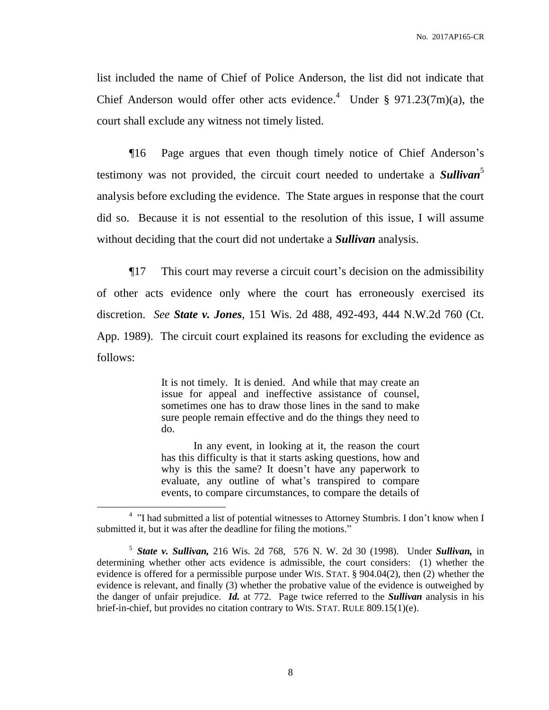list included the name of Chief of Police Anderson, the list did not indicate that Chief Anderson would offer other acts evidence.<sup>4</sup> Under § 971.23(7m)(a), the court shall exclude any witness not timely listed.

¶16 Page argues that even though timely notice of Chief Anderson's testimony was not provided, the circuit court needed to undertake a *Sullivan*<sup>5</sup> analysis before excluding the evidence. The State argues in response that the court did so. Because it is not essential to the resolution of this issue, I will assume without deciding that the court did not undertake a *Sullivan* analysis.

¶17 This court may reverse a circuit court's decision on the admissibility of other acts evidence only where the court has erroneously exercised its discretion. *See State v. Jones*, 151 Wis. 2d 488, 492-493, 444 N.W.2d 760 (Ct. App. 1989). The circuit court explained its reasons for excluding the evidence as follows:

> It is not timely. It is denied. And while that may create an issue for appeal and ineffective assistance of counsel, sometimes one has to draw those lines in the sand to make sure people remain effective and do the things they need to do.

> In any event, in looking at it, the reason the court has this difficulty is that it starts asking questions, how and why is this the same? It doesn't have any paperwork to evaluate, any outline of what's transpired to compare events, to compare circumstances, to compare the details of

 $\overline{a}$ 

<sup>&</sup>lt;sup>4</sup> "I had submitted a list of potential witnesses to Attorney Stumbris. I don't know when I submitted it, but it was after the deadline for filing the motions."

<sup>5</sup> *State v. Sullivan,* 216 Wis. 2d 768, 576 N. W. 2d 30 (1998). Under *Sullivan,* in determining whether other acts evidence is admissible, the court considers: (1) whether the evidence is offered for a permissible purpose under WIS. STAT. § 904.04(2), then (2) whether the evidence is relevant, and finally (3) whether the probative value of the evidence is outweighed by the danger of unfair prejudice. *Id.* at 772. Page twice referred to the *Sullivan* analysis in his brief-in-chief, but provides no citation contrary to WIS. STAT. RULE 809.15(1)(e).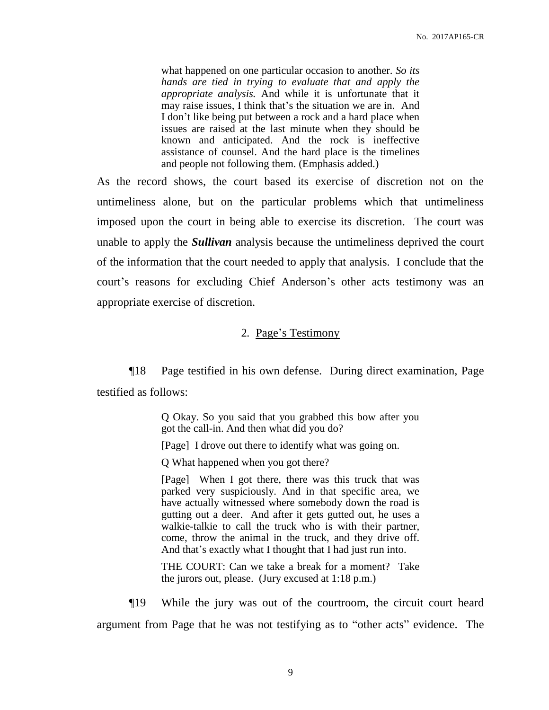what happened on one particular occasion to another. *So its hands are tied in trying to evaluate that and apply the appropriate analysis.* And while it is unfortunate that it may raise issues, I think that's the situation we are in. And I don't like being put between a rock and a hard place when issues are raised at the last minute when they should be known and anticipated. And the rock is ineffective assistance of counsel. And the hard place is the timelines and people not following them. (Emphasis added.)

As the record shows, the court based its exercise of discretion not on the untimeliness alone, but on the particular problems which that untimeliness imposed upon the court in being able to exercise its discretion. The court was unable to apply the *Sullivan* analysis because the untimeliness deprived the court of the information that the court needed to apply that analysis. I conclude that the court's reasons for excluding Chief Anderson's other acts testimony was an appropriate exercise of discretion.

#### 2*.* Page's Testimony

¶18 Page testified in his own defense. During direct examination, Page testified as follows:

> Q Okay. So you said that you grabbed this bow after you got the call-in. And then what did you do?

[Page] I drove out there to identify what was going on.

Q What happened when you got there?

[Page] When I got there, there was this truck that was parked very suspiciously. And in that specific area, we have actually witnessed where somebody down the road is gutting out a deer. And after it gets gutted out, he uses a walkie-talkie to call the truck who is with their partner, come, throw the animal in the truck, and they drive off. And that's exactly what I thought that I had just run into.

THE COURT: Can we take a break for a moment? Take the jurors out, please. (Jury excused at 1:18 p.m.)

¶19 While the jury was out of the courtroom, the circuit court heard argument from Page that he was not testifying as to "other acts" evidence. The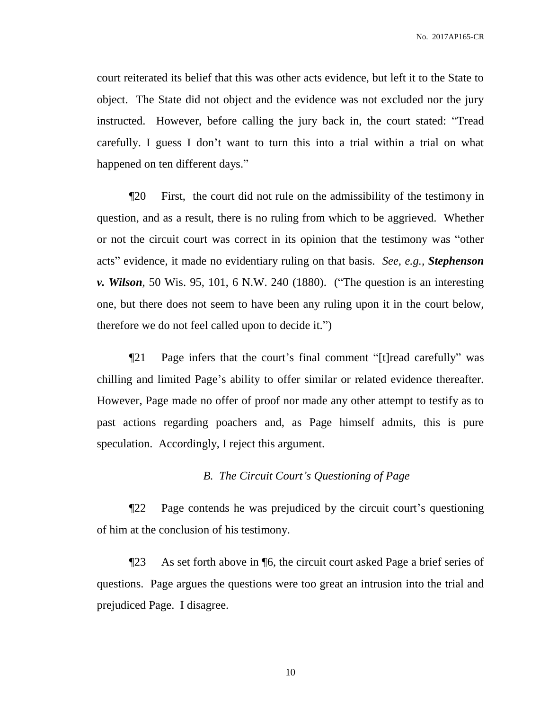court reiterated its belief that this was other acts evidence, but left it to the State to object. The State did not object and the evidence was not excluded nor the jury instructed. However, before calling the jury back in, the court stated: "Tread carefully. I guess I don't want to turn this into a trial within a trial on what happened on ten different days."

¶20 First, the court did not rule on the admissibility of the testimony in question, and as a result, there is no ruling from which to be aggrieved. Whether or not the circuit court was correct in its opinion that the testimony was "other acts" evidence, it made no evidentiary ruling on that basis. *See, e.g., Stephenson v. Wilson*, 50 Wis. 95, 101, 6 N.W. 240 (1880). ("The question is an interesting one, but there does not seem to have been any ruling upon it in the court below, therefore we do not feel called upon to decide it.")

¶21 Page infers that the court's final comment "[t]read carefully" was chilling and limited Page's ability to offer similar or related evidence thereafter. However, Page made no offer of proof nor made any other attempt to testify as to past actions regarding poachers and, as Page himself admits, this is pure speculation. Accordingly, I reject this argument.

#### *B. The Circuit Court's Questioning of Page*

¶22 Page contends he was prejudiced by the circuit court's questioning of him at the conclusion of his testimony.

¶23 As set forth above in ¶6, the circuit court asked Page a brief series of questions. Page argues the questions were too great an intrusion into the trial and prejudiced Page. I disagree.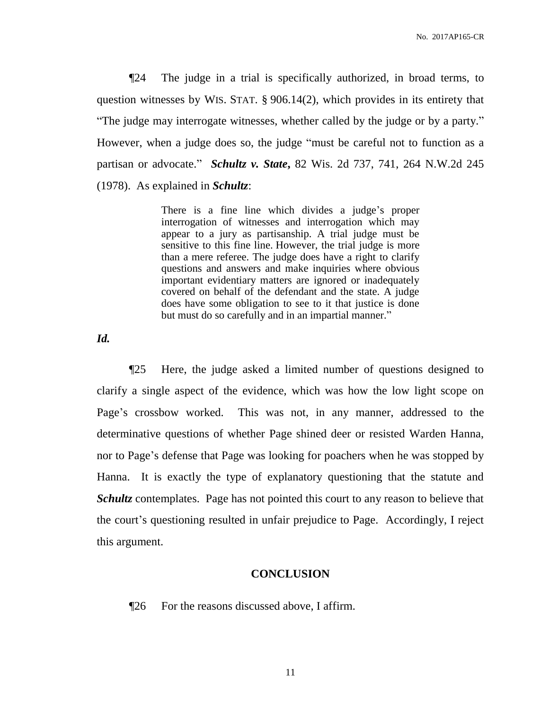No. 2017AP165-CR

¶24 The judge in a trial is specifically authorized, in broad terms, to question witnesses by WIS. STAT. § 906.14(2), which provides in its entirety that "The judge may interrogate witnesses, whether called by the judge or by a party." However, when a judge does so, the judge "must be careful not to function as a partisan or advocate." *Schultz v. State***,** 82 Wis. 2d 737, 741, 264 N.W.2d 245 (1978). As explained in *Schultz*:

> There is a fine line which divides a judge's proper interrogation of witnesses and interrogation which may appear to a jury as partisanship. A trial judge must be sensitive to this fine line. However, the trial judge is more than a mere referee. The judge does have a right to clarify questions and answers and make inquiries where obvious important evidentiary matters are ignored or inadequately covered on behalf of the defendant and the state. A judge does have some obligation to see to it that justice is done but must do so carefully and in an impartial manner."

*Id.*

¶25 Here, the judge asked a limited number of questions designed to clarify a single aspect of the evidence, which was how the low light scope on Page's crossbow worked. This was not, in any manner, addressed to the determinative questions of whether Page shined deer or resisted Warden Hanna, nor to Page's defense that Page was looking for poachers when he was stopped by Hanna. It is exactly the type of explanatory questioning that the statute and *Schultz* contemplates. Page has not pointed this court to any reason to believe that the court's questioning resulted in unfair prejudice to Page. Accordingly, I reject this argument.

## **CONCLUSION**

¶26 For the reasons discussed above, I affirm.